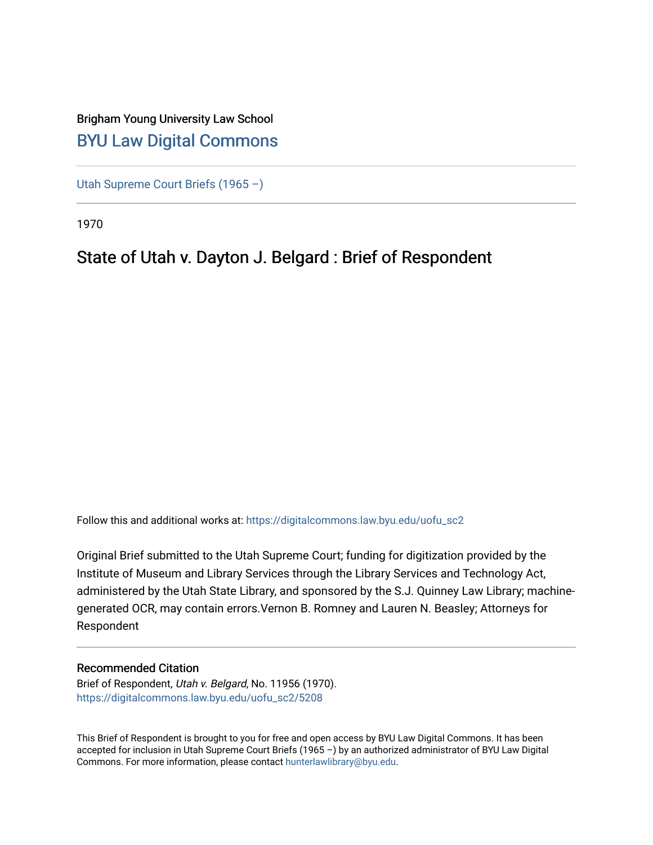## Brigham Young University Law School [BYU Law Digital Commons](https://digitalcommons.law.byu.edu/)

[Utah Supreme Court Briefs \(1965 –\)](https://digitalcommons.law.byu.edu/uofu_sc2)

1970

## State of Utah v. Dayton J. Belgard : Brief of Respondent

Follow this and additional works at: [https://digitalcommons.law.byu.edu/uofu\\_sc2](https://digitalcommons.law.byu.edu/uofu_sc2?utm_source=digitalcommons.law.byu.edu%2Fuofu_sc2%2F5208&utm_medium=PDF&utm_campaign=PDFCoverPages)

Original Brief submitted to the Utah Supreme Court; funding for digitization provided by the Institute of Museum and Library Services through the Library Services and Technology Act, administered by the Utah State Library, and sponsored by the S.J. Quinney Law Library; machinegenerated OCR, may contain errors.Vernon B. Romney and Lauren N. Beasley; Attorneys for Respondent

## Recommended Citation

Brief of Respondent, Utah v. Belgard, No. 11956 (1970). [https://digitalcommons.law.byu.edu/uofu\\_sc2/5208](https://digitalcommons.law.byu.edu/uofu_sc2/5208?utm_source=digitalcommons.law.byu.edu%2Fuofu_sc2%2F5208&utm_medium=PDF&utm_campaign=PDFCoverPages) 

This Brief of Respondent is brought to you for free and open access by BYU Law Digital Commons. It has been accepted for inclusion in Utah Supreme Court Briefs (1965 –) by an authorized administrator of BYU Law Digital Commons. For more information, please contact [hunterlawlibrary@byu.edu](mailto:hunterlawlibrary@byu.edu).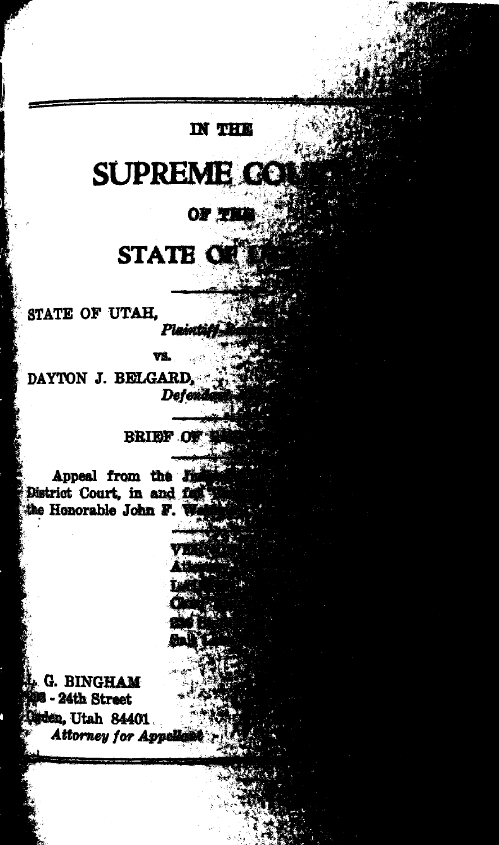## **IN THE**

# **SUPREME GO**

## OF TH

# STATE OF

STATE OF UTAH.

re de la partie de la partie de la partie de la partie de la partie de la partie de la partie de la partie de

I

VS.

DAYTON J. BELGARD Defen

### **BRIEF OF**

Appeal from the *h* District Court, in and fa the Honorable John F.

**G. BINGHAM** - 24th Street den, Utah 84401. *Attorney for Appe*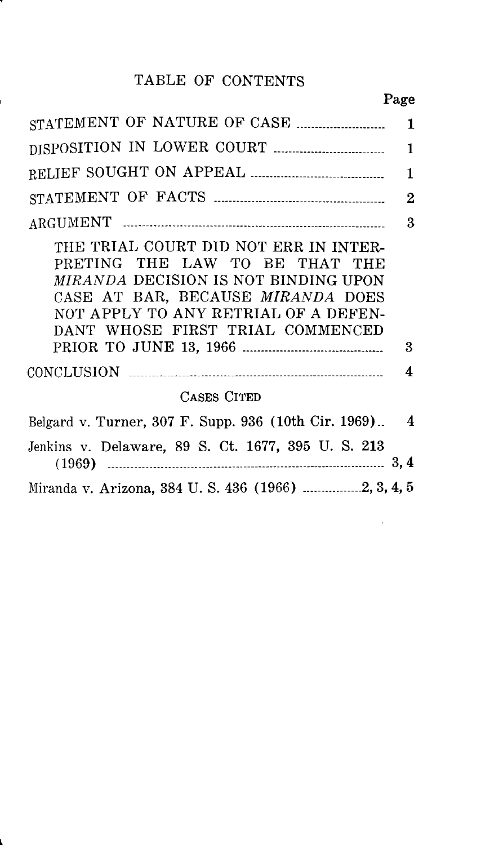## TABLE OF CONTENTS

٢.

|                                                                                                                                                                                                                                         | 1              |
|-----------------------------------------------------------------------------------------------------------------------------------------------------------------------------------------------------------------------------------------|----------------|
|                                                                                                                                                                                                                                         | 1              |
|                                                                                                                                                                                                                                         | 1              |
|                                                                                                                                                                                                                                         | 2              |
|                                                                                                                                                                                                                                         | 3              |
| THE TRIAL COURT DID NOT ERR IN INTER-<br>PRETING THE LAW TO BE THAT THE<br><i>MIRANDA DECISION IS NOT BINDING UPON</i><br>CASE AT BAR, BECAUSE MIRANDA DOES<br>NOT APPLY TO ANY RETRIAL OF A DEFEN-<br>DANT WHOSE FIRST TRIAL COMMENCED | 3              |
|                                                                                                                                                                                                                                         | 4              |
| CASES CITED                                                                                                                                                                                                                             |                |
| Belgard v. Turner, 307 F. Supp. 936 (10th Cir. 1969)                                                                                                                                                                                    | $\overline{4}$ |
| Jenkins v. Delaware, 89 S. Ct. 1677, 395 U. S. 213                                                                                                                                                                                      |                |
|                                                                                                                                                                                                                                         |                |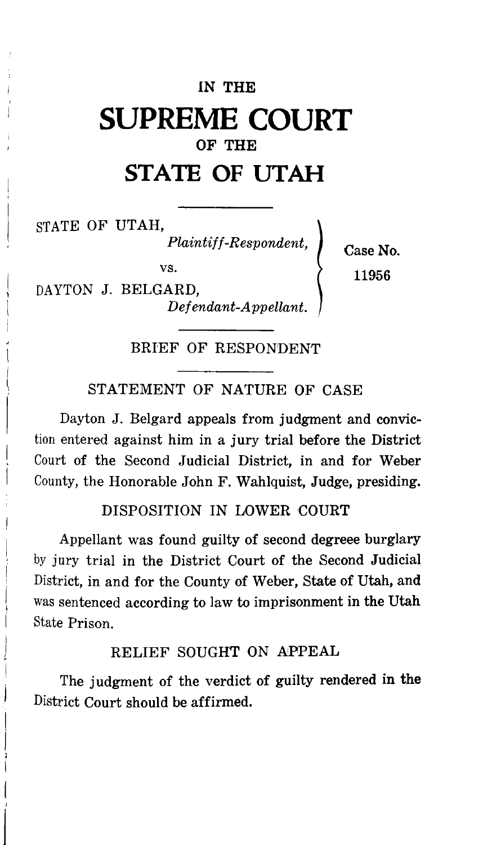## IN THE **SUPREME COURT**  OF THE **STATE OF UTAH**

STATE OF UTAH,

l I  $\left($ J

*l* 

 $\emph{Plaintiff-Respondent},$ 

vs.

DAYTON J. BELGARD, *Defendant-Appellant.*  Case No. 11956

BRIEF OF RESPONDENT

STATEMENT OF NATURE OF CASE

Dayton J. Belgard appeals from judgment and conviction entered against him in a jury trial before the District Court of the Second Judicial District, in and for Weber County, the Honorable John F. Wahlquist, Judge, presiding.

#### DISPOSITION IN LOWER COURT

Appellant was found guilty of second degreee burglary by jury trial in the District Court of the Second Judicial District, in and for the County of Weber, State of Utah, and was sentenced according to law to imprisonment in the Utah State Prison.

### RELIEF SOUGHT ON APPEAL

The judgment of the verdict of guilty rendered in the District Court should be affirmed.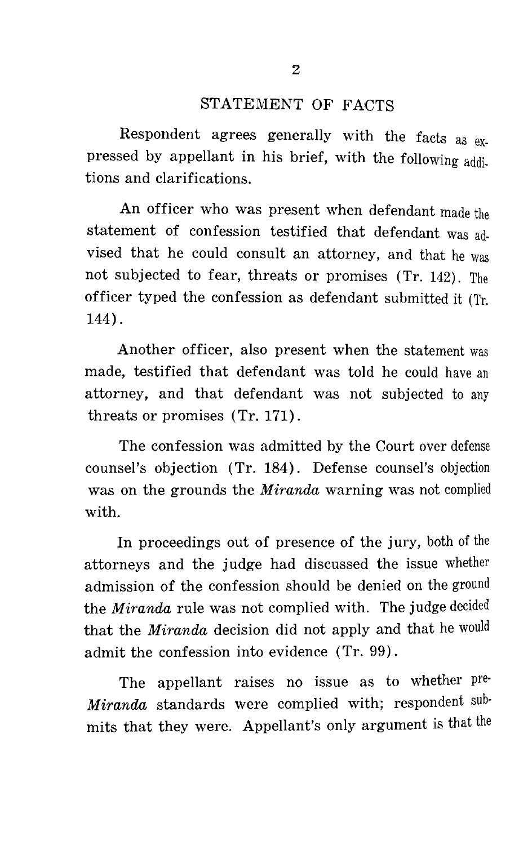### STATEMENT OF FACTS

Respondent agrees generally with the facts as  $ex$ pressed by appellant in his brief, with the following additions and clarifications.

An officer who was present when defendant made the statement of confession testified that defendant was advised that he could consult an attorney, and that he was not subjected to fear, threats or promises (Tr. 142). The officer typed the confession as defendant submitted it (Tr. 144).

Another officer, also present when the statement was made, testified that defendant was told he could have an attorney, and that defendant was not subjected to any threats or promises (Tr. 171).

The confession was admitted by the Court over defense counsel's objection (Tr. 184). Defense counsel's objection was on the grounds the *Miranda* warning was not complied with.

In proceedings out of presence of the jury, both of the attorneys and the judge had discussed the issue whether admission of the confession should be denied on the ground the *Miranda* rule was not complied with. The judge decided that the *Miranda* decision did not apply and that he would admit the confession into evidence (Tr. 99).

The appellant raises no issue as to whether pre· *Miranda* standards were complied with; respondent submits that they were. Appellant's only argument is that the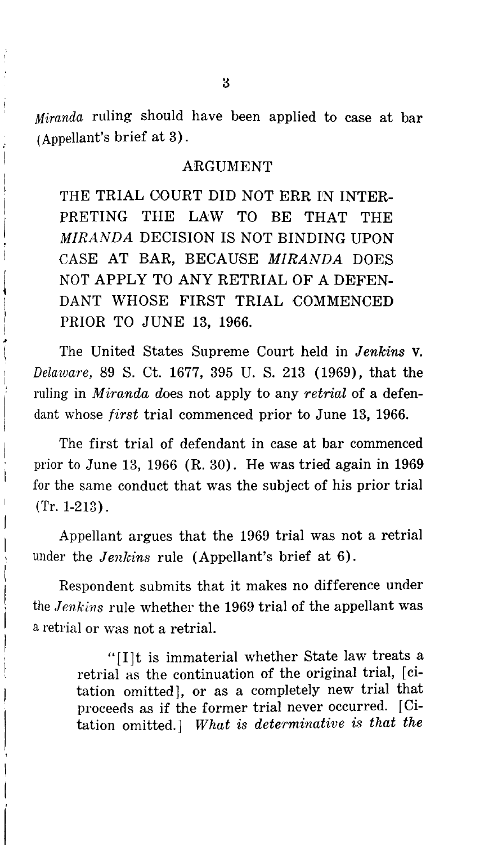*Miranda* ruling should have been applied to case at bar (Appellant's brief at 3).

#### ARGUMENT

THE TRIAL COURT DID NOT ERR IN INTER-PRETING THE LAW TO BE THAT THE *MIRANDA* DECISION IS NOT BINDING UPON CASE AT BAR, BECAUSE *MIRANDA* DOES NOT APPLY TO ANY RETRIAL OF A DEFEN-DANT WHOSE FIRST TRIAL COMMENCED PRIOR TO JUNE 13, 1966.

The United States Supreme Court held in *Jenkins* v. *Delaware,* 89 S. Ct. 1677, 395 U. S. 213 (1969), that the ruling in *Miranda* does not apply to any *retrial* of a defendant whose *first* trial commenced prior to June 13, 1966.

The first trial of defendant in case at bar commenced prior to June 13, 1966 (R. 30). He was tried again in 1969 for the same conduct that was the subject of his prior trial (Tr. 1-213).

Appellant argues that the 1969 trial was not a retrial under the *Jenkins* rule (Appellant's brief at 6).

Respondent submits that it makes no difference under the *Jenkins* rule whether the 1969 trial of the appellant was a retrial or was not a retrial.

> "[I]t is immaterial whether State law treats a retrial as the continuation of the original trial, [ citation omitted], or as a completely new trial that proceeds as if the former trial never occurred. [Citation omitted.] *What is determinative is that the*

j

Á

 $\overline{\phantom{a}}$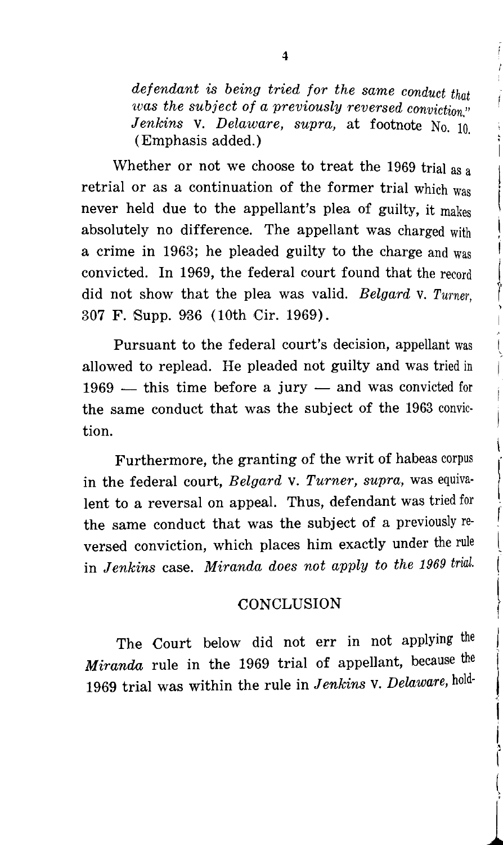*defendant is being tried for the same conduct that was the subject of a previously reversed conviction" Jenkins* v. *Delaware, supra,* at footnote No. 10. (Emphasis added.)

Whether or not we choose to treat the 1969 trial as a retrial or as a continuation of the former trial which was never held due to the appellant's plea of guilty, it makes absolutely no difference. The appellant was charged with a crime in 1963; he pleaded guilty to the charge and was convicted. In 1969, the federal court found that the record did not show that the plea was valid. *Belgard* v. *Turner,*  307 F. Supp. 936 (10th Cir. 1969).

I I r<br>|<br>|

I

f I l (

 $\left\{ \begin{array}{c} \frac{1}{2} \\ \frac{1}{2} \end{array} \right.$ 

t I l

*l* 

Pursuant to the federal court's decision, appellant was allowed to replead. He pleaded not guilty and was tried in  $1969$  — this time before a jury — and was convicted for the same conduct that was the subject of the 1963 conviction.

Furthermore, the granting of the writ of habeas corpus in the federal court, *Belgard* v. *Turner, supra,* was equivalent to a reversal on appeal. Thus, defendant was tried for the same conduct that was the subject of a previously reversed conviction, which places him exactly under the rule in *Jenkins* case. *Miranda does not apply to the 1969 trial.* 

#### **CONCLUSION**

The Court below did not err in not applying the *Miranda* rule in the 1969 trial of appellant, because the 1969 trial was within the rule in *Jenkins* v. *Delaware,* hold